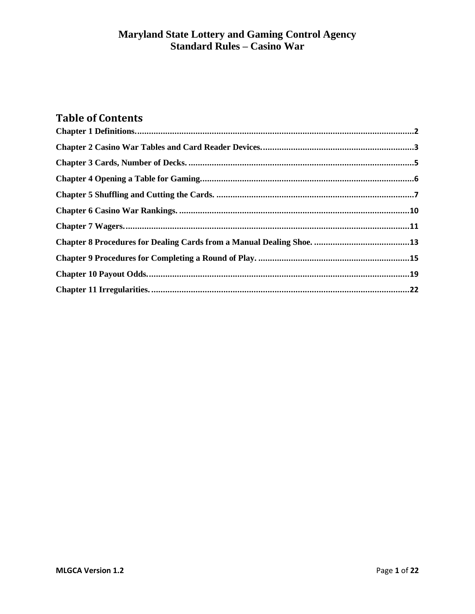# **Table of Contents**

<span id="page-0-0"></span>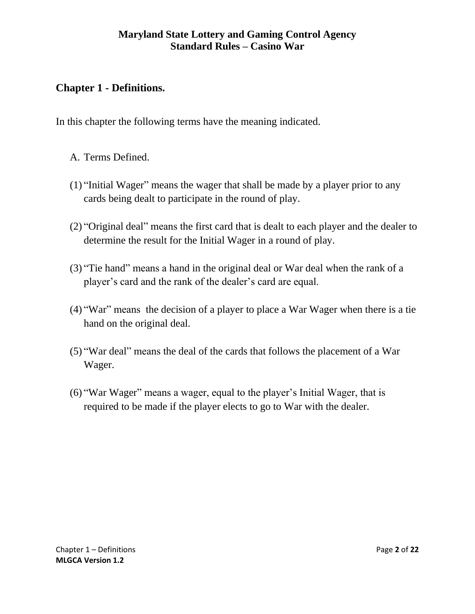# **Chapter 1 - Definitions.**

In this chapter the following terms have the meaning indicated.

- A. Terms Defined.
- (1) "Initial Wager" means the wager that shall be made by a player prior to any cards being dealt to participate in the round of play.
- (2) "Original deal" means the first card that is dealt to each player and the dealer to determine the result for the Initial Wager in a round of play.
- (3) "Tie hand" means a hand in the original deal or War deal when the rank of a player's card and the rank of the dealer's card are equal.
- (4) "War" means the decision of a player to place a War Wager when there is a tie hand on the original deal.
- (5) "War deal" means the deal of the cards that follows the placement of a War Wager.
- (6) "War Wager" means a wager, equal to the player's Initial Wager, that is required to be made if the player elects to go to War with the dealer.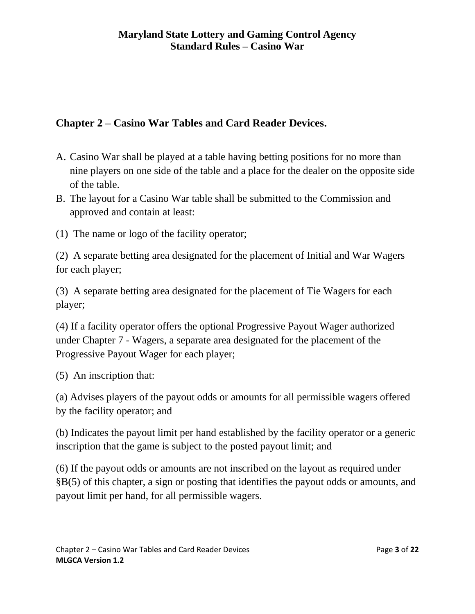# <span id="page-2-0"></span>**Chapter 2 – Casino War Tables and Card Reader Devices.**

- A. Casino War shall be played at a table having betting positions for no more than nine players on one side of the table and a place for the dealer on the opposite side of the table.
- B. The layout for a Casino War table shall be submitted to the Commission and approved and contain at least:
- (1) The name or logo of the facility operator;

(2) A separate betting area designated for the placement of Initial and War Wagers for each player;

(3) A separate betting area designated for the placement of Tie Wagers for each player;

(4) If a facility operator offers the optional Progressive Payout Wager authorized under Chapter 7 - Wagers, a separate area designated for the placement of the Progressive Payout Wager for each player;

(5) An inscription that:

(a) Advises players of the payout odds or amounts for all permissible wagers offered by the facility operator; and

(b) Indicates the payout limit per hand established by the facility operator or a generic inscription that the game is subject to the posted payout limit; and

(6) If the payout odds or amounts are not inscribed on the layout as required under §B(5) of this chapter, a sign or posting that identifies the payout odds or amounts, and payout limit per hand, for all permissible wagers.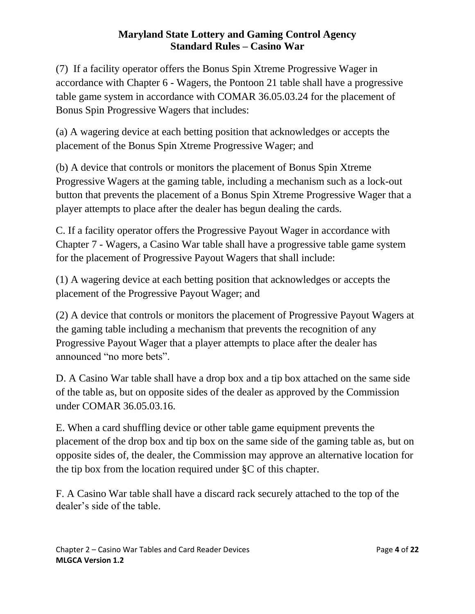(7) If a facility operator offers the Bonus Spin Xtreme Progressive Wager in accordance with Chapter 6 - Wagers, the Pontoon 21 table shall have a progressive table game system in accordance with COMAR 36.05.03.24 for the placement of Bonus Spin Progressive Wagers that includes:

(a) A wagering device at each betting position that acknowledges or accepts the placement of the Bonus Spin Xtreme Progressive Wager; and

(b) A device that controls or monitors the placement of Bonus Spin Xtreme Progressive Wagers at the gaming table, including a mechanism such as a lock-out button that prevents the placement of a Bonus Spin Xtreme Progressive Wager that a player attempts to place after the dealer has begun dealing the cards.

C. If a facility operator offers the Progressive Payout Wager in accordance with Chapter 7 - Wagers, a Casino War table shall have a progressive table game system for the placement of Progressive Payout Wagers that shall include:

(1) A wagering device at each betting position that acknowledges or accepts the placement of the Progressive Payout Wager; and

(2) A device that controls or monitors the placement of Progressive Payout Wagers at the gaming table including a mechanism that prevents the recognition of any Progressive Payout Wager that a player attempts to place after the dealer has announced "no more bets".

D. A Casino War table shall have a drop box and a tip box attached on the same side of the table as, but on opposite sides of the dealer as approved by the Commission under COMAR 36.05.03.16.

E. When a card shuffling device or other table game equipment prevents the placement of the drop box and tip box on the same side of the gaming table as, but on opposite sides of, the dealer, the Commission may approve an alternative location for the tip box from the location required under §C of this chapter.

F. A Casino War table shall have a discard rack securely attached to the top of the dealer's side of the table.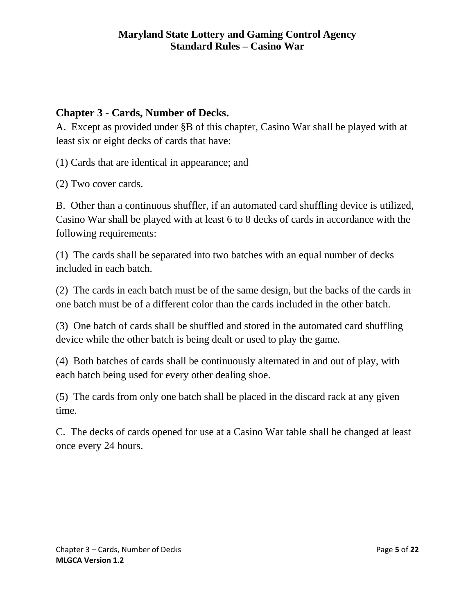# <span id="page-4-0"></span>**Chapter 3 - Cards, Number of Decks.**

A. Except as provided under §B of this chapter, Casino War shall be played with at least six or eight decks of cards that have:

(1) Cards that are identical in appearance; and

(2) Two cover cards.

B. Other than a continuous shuffler, if an automated card shuffling device is utilized, Casino War shall be played with at least 6 to 8 decks of cards in accordance with the following requirements:

(1) The cards shall be separated into two batches with an equal number of decks included in each batch.

(2) The cards in each batch must be of the same design, but the backs of the cards in one batch must be of a different color than the cards included in the other batch.

(3) One batch of cards shall be shuffled and stored in the automated card shuffling device while the other batch is being dealt or used to play the game.

(4) Both batches of cards shall be continuously alternated in and out of play, with each batch being used for every other dealing shoe.

(5) The cards from only one batch shall be placed in the discard rack at any given time.

<span id="page-4-1"></span>C. The decks of cards opened for use at a Casino War table shall be changed at least once every 24 hours.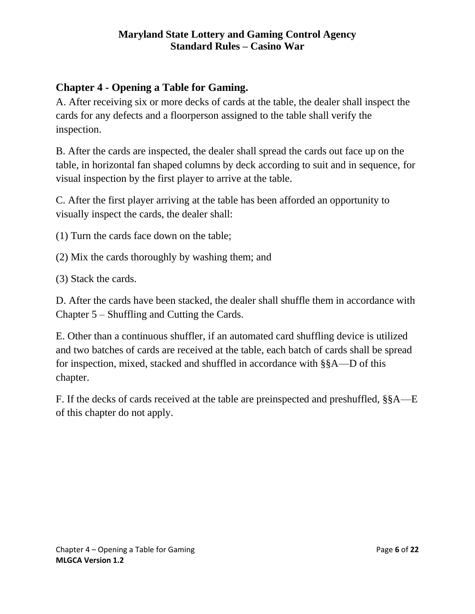# **Chapter 4 - Opening a Table for Gaming.**

A. After receiving six or more decks of cards at the table, the dealer shall inspect the cards for any defects and a floorperson assigned to the table shall verify the inspection.

B. After the cards are inspected, the dealer shall spread the cards out face up on the table, in horizontal fan shaped columns by deck according to suit and in sequence, for visual inspection by the first player to arrive at the table.

C. After the first player arriving at the table has been afforded an opportunity to visually inspect the cards, the dealer shall:

(1) Turn the cards face down on the table;

(2) Mix the cards thoroughly by washing them; and

(3) Stack the cards.

D. After the cards have been stacked, the dealer shall shuffle them in accordance with Chapter 5 – Shuffling and Cutting the Cards.

E. Other than a continuous shuffler, if an automated card shuffling device is utilized and two batches of cards are received at the table, each batch of cards shall be spread for inspection, mixed, stacked and shuffled in accordance with §§A—D of this chapter.

F. If the decks of cards received at the table are preinspected and preshuffled, §§A—E of this chapter do not apply.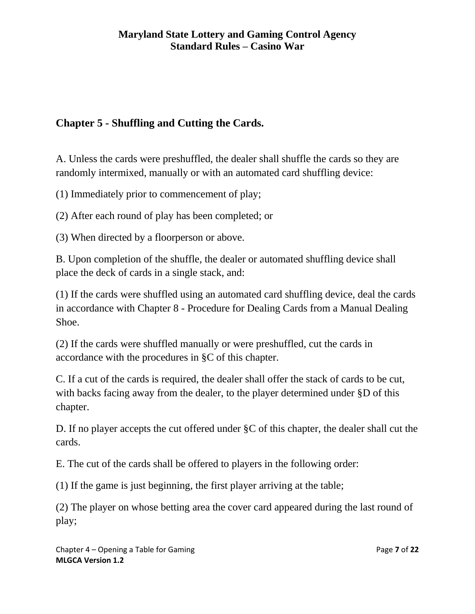# <span id="page-6-0"></span>**Chapter 5 - Shuffling and Cutting the Cards.**

A. Unless the cards were preshuffled, the dealer shall shuffle the cards so they are randomly intermixed, manually or with an automated card shuffling device:

(1) Immediately prior to commencement of play;

(2) After each round of play has been completed; or

(3) When directed by a floorperson or above.

B. Upon completion of the shuffle, the dealer or automated shuffling device shall place the deck of cards in a single stack, and:

(1) If the cards were shuffled using an automated card shuffling device, deal the cards in accordance with Chapter 8 - Procedure for Dealing Cards from a Manual Dealing Shoe.

(2) If the cards were shuffled manually or were preshuffled, cut the cards in accordance with the procedures in §C of this chapter.

C. If a cut of the cards is required, the dealer shall offer the stack of cards to be cut, with backs facing away from the dealer, to the player determined under §D of this chapter.

D. If no player accepts the cut offered under §C of this chapter, the dealer shall cut the cards.

E. The cut of the cards shall be offered to players in the following order:

(1) If the game is just beginning, the first player arriving at the table;

(2) The player on whose betting area the cover card appeared during the last round of play;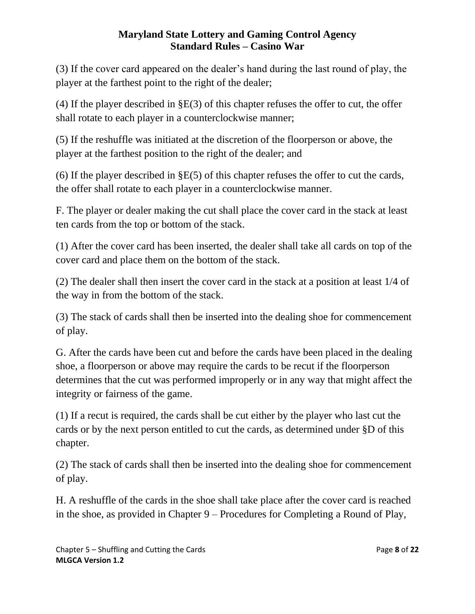(3) If the cover card appeared on the dealer's hand during the last round of play, the player at the farthest point to the right of the dealer;

(4) If the player described in §E(3) of this chapter refuses the offer to cut, the offer shall rotate to each player in a counterclockwise manner;

(5) If the reshuffle was initiated at the discretion of the floorperson or above, the player at the farthest position to the right of the dealer; and

(6) If the player described in §E(5) of this chapter refuses the offer to cut the cards, the offer shall rotate to each player in a counterclockwise manner.

F. The player or dealer making the cut shall place the cover card in the stack at least ten cards from the top or bottom of the stack.

(1) After the cover card has been inserted, the dealer shall take all cards on top of the cover card and place them on the bottom of the stack.

(2) The dealer shall then insert the cover card in the stack at a position at least 1/4 of the way in from the bottom of the stack.

(3) The stack of cards shall then be inserted into the dealing shoe for commencement of play.

G. After the cards have been cut and before the cards have been placed in the dealing shoe, a floorperson or above may require the cards to be recut if the floorperson determines that the cut was performed improperly or in any way that might affect the integrity or fairness of the game.

(1) If a recut is required, the cards shall be cut either by the player who last cut the cards or by the next person entitled to cut the cards, as determined under §D of this chapter.

(2) The stack of cards shall then be inserted into the dealing shoe for commencement of play.

H. A reshuffle of the cards in the shoe shall take place after the cover card is reached in the shoe, as provided in Chapter 9 – Procedures for Completing a Round of Play,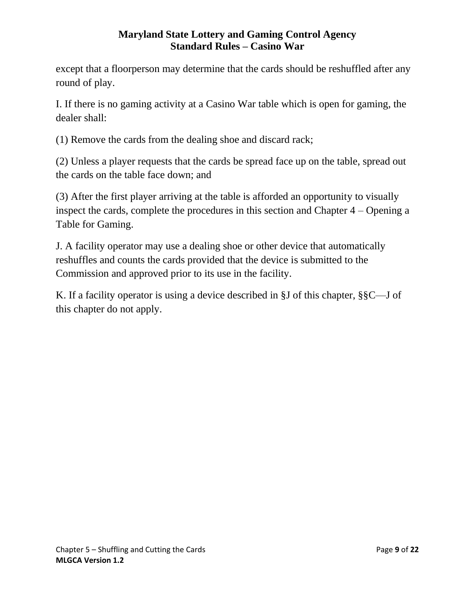except that a floorperson may determine that the cards should be reshuffled after any round of play.

I. If there is no gaming activity at a Casino War table which is open for gaming, the dealer shall:

(1) Remove the cards from the dealing shoe and discard rack;

(2) Unless a player requests that the cards be spread face up on the table, spread out the cards on the table face down; and

(3) After the first player arriving at the table is afforded an opportunity to visually inspect the cards, complete the procedures in this section and Chapter 4 – Opening a Table for Gaming.

J. A facility operator may use a dealing shoe or other device that automatically reshuffles and counts the cards provided that the device is submitted to the Commission and approved prior to its use in the facility.

<span id="page-8-0"></span>K. If a facility operator is using a device described in §J of this chapter, §§C—J of this chapter do not apply.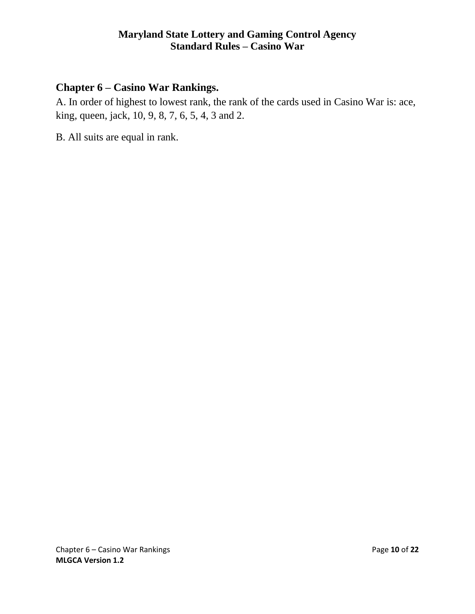# **Chapter 6 – Casino War Rankings.**

A. In order of highest to lowest rank, the rank of the cards used in Casino War is: ace, king, queen, jack, 10, 9, 8, 7, 6, 5, 4, 3 and 2.

<span id="page-9-0"></span>B. All suits are equal in rank.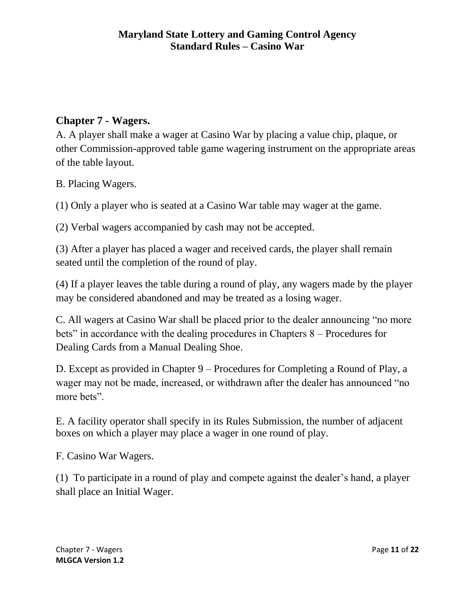# **Chapter 7 - Wagers.**

A. A player shall make a wager at Casino War by placing a value chip, plaque, or other Commission-approved table game wagering instrument on the appropriate areas of the table layout.

B. Placing Wagers.

(1) Only a player who is seated at a Casino War table may wager at the game.

(2) Verbal wagers accompanied by cash may not be accepted.

(3) After a player has placed a wager and received cards, the player shall remain seated until the completion of the round of play.

(4) If a player leaves the table during a round of play, any wagers made by the player may be considered abandoned and may be treated as a losing wager.

C. All wagers at Casino War shall be placed prior to the dealer announcing "no more bets" in accordance with the dealing procedures in Chapters 8 – Procedures for Dealing Cards from a Manual Dealing Shoe.

D. Except as provided in Chapter 9 – Procedures for Completing a Round of Play, a wager may not be made, increased, or withdrawn after the dealer has announced "no more bets".

E. A facility operator shall specify in its Rules Submission, the number of adjacent boxes on which a player may place a wager in one round of play.

F. Casino War Wagers.

(1) To participate in a round of play and compete against the dealer's hand, a player shall place an Initial Wager.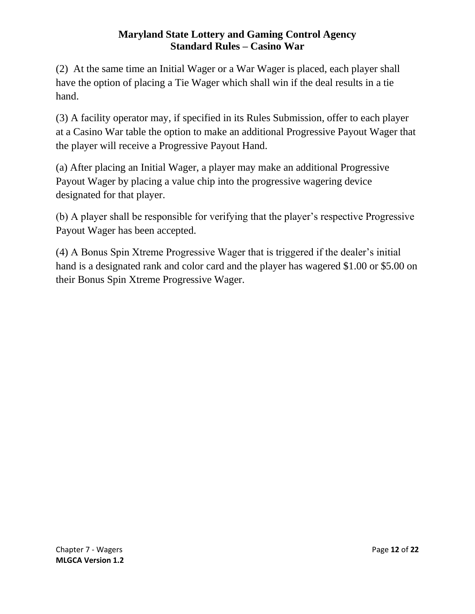(2) At the same time an Initial Wager or a War Wager is placed, each player shall have the option of placing a Tie Wager which shall win if the deal results in a tie hand.

(3) A facility operator may, if specified in its Rules Submission, offer to each player at a Casino War table the option to make an additional Progressive Payout Wager that the player will receive a Progressive Payout Hand.

(a) After placing an Initial Wager, a player may make an additional Progressive Payout Wager by placing a value chip into the progressive wagering device designated for that player.

(b) A player shall be responsible for verifying that the player's respective Progressive Payout Wager has been accepted.

<span id="page-11-0"></span>(4) A Bonus Spin Xtreme Progressive Wager that is triggered if the dealer's initial hand is a designated rank and color card and the player has wagered \$1.00 or \$5.00 on their Bonus Spin Xtreme Progressive Wager.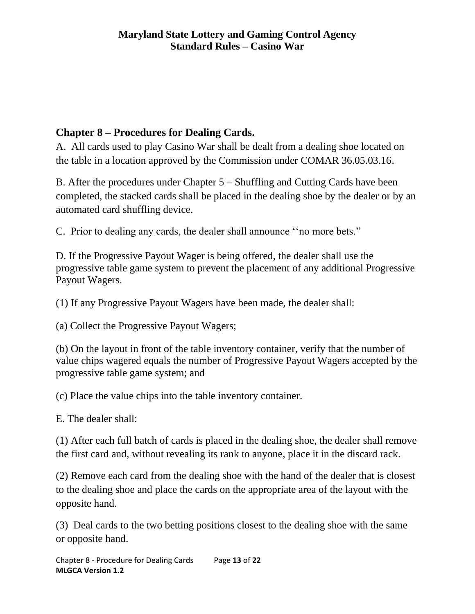# **Chapter 8 – Procedures for Dealing Cards.**

A. All cards used to play Casino War shall be dealt from a dealing shoe located on the table in a location approved by the Commission under COMAR 36.05.03.16.

B. After the procedures under Chapter 5 – Shuffling and Cutting Cards have been completed, the stacked cards shall be placed in the dealing shoe by the dealer or by an automated card shuffling device.

C. Prior to dealing any cards, the dealer shall announce ''no more bets."

D. If the Progressive Payout Wager is being offered, the dealer shall use the progressive table game system to prevent the placement of any additional Progressive Payout Wagers.

(1) If any Progressive Payout Wagers have been made, the dealer shall:

(a) Collect the Progressive Payout Wagers;

(b) On the layout in front of the table inventory container, verify that the number of value chips wagered equals the number of Progressive Payout Wagers accepted by the progressive table game system; and

(c) Place the value chips into the table inventory container.

E. The dealer shall:

(1) After each full batch of cards is placed in the dealing shoe, the dealer shall remove the first card and, without revealing its rank to anyone, place it in the discard rack.

(2) Remove each card from the dealing shoe with the hand of the dealer that is closest to the dealing shoe and place the cards on the appropriate area of the layout with the opposite hand.

(3) Deal cards to the two betting positions closest to the dealing shoe with the same or opposite hand.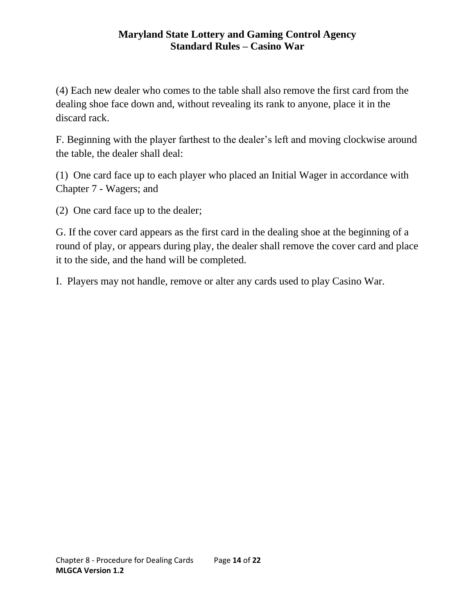(4) Each new dealer who comes to the table shall also remove the first card from the dealing shoe face down and, without revealing its rank to anyone, place it in the discard rack.

F. Beginning with the player farthest to the dealer's left and moving clockwise around the table, the dealer shall deal:

(1) One card face up to each player who placed an Initial Wager in accordance with Chapter 7 - Wagers; and

(2) One card face up to the dealer;

G. If the cover card appears as the first card in the dealing shoe at the beginning of a round of play, or appears during play, the dealer shall remove the cover card and place it to the side, and the hand will be completed.

I. Players may not handle, remove or alter any cards used to play Casino War.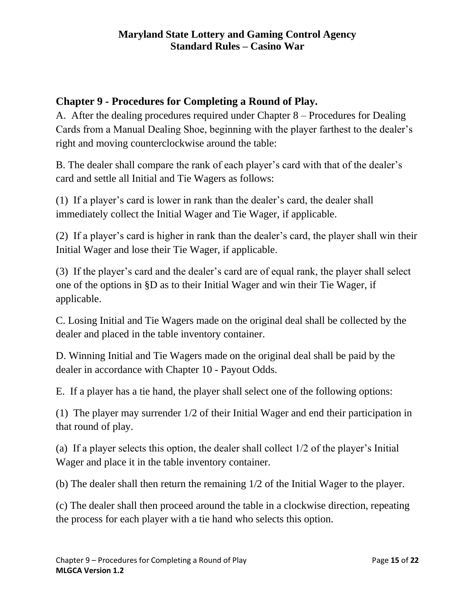# <span id="page-14-0"></span>**Chapter 9 - Procedures for Completing a Round of Play.**

A. After the dealing procedures required under Chapter 8 – Procedures for Dealing Cards from a Manual Dealing Shoe, beginning with the player farthest to the dealer's right and moving counterclockwise around the table:

B. The dealer shall compare the rank of each player's card with that of the dealer's card and settle all Initial and Tie Wagers as follows:

(1) If a player's card is lower in rank than the dealer's card, the dealer shall immediately collect the Initial Wager and Tie Wager, if applicable.

(2) If a player's card is higher in rank than the dealer's card, the player shall win their Initial Wager and lose their Tie Wager, if applicable.

(3) If the player's card and the dealer's card are of equal rank, the player shall select one of the options in §D as to their Initial Wager and win their Tie Wager, if applicable.

C. Losing Initial and Tie Wagers made on the original deal shall be collected by the dealer and placed in the table inventory container.

D. Winning Initial and Tie Wagers made on the original deal shall be paid by the dealer in accordance with Chapter 10 - Payout Odds.

E. If a player has a tie hand, the player shall select one of the following options:

(1) The player may surrender 1/2 of their Initial Wager and end their participation in that round of play.

(a) If a player selects this option, the dealer shall collect 1/2 of the player's Initial Wager and place it in the table inventory container.

(b) The dealer shall then return the remaining 1/2 of the Initial Wager to the player.

(c) The dealer shall then proceed around the table in a clockwise direction, repeating the process for each player with a tie hand who selects this option.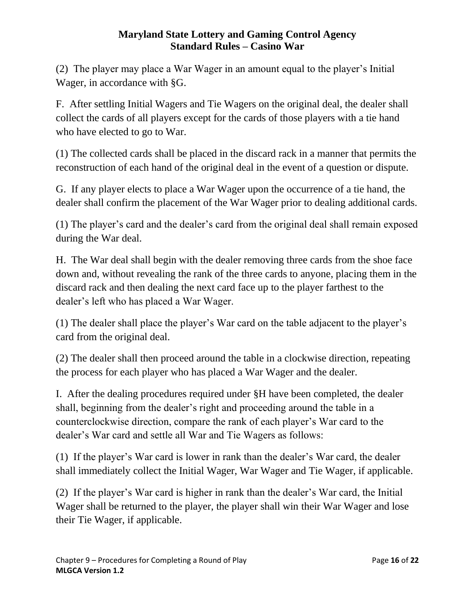(2) The player may place a War Wager in an amount equal to the player's Initial Wager, in accordance with §G.

F. After settling Initial Wagers and Tie Wagers on the original deal, the dealer shall collect the cards of all players except for the cards of those players with a tie hand who have elected to go to War.

(1) The collected cards shall be placed in the discard rack in a manner that permits the reconstruction of each hand of the original deal in the event of a question or dispute.

G. If any player elects to place a War Wager upon the occurrence of a tie hand, the dealer shall confirm the placement of the War Wager prior to dealing additional cards.

(1) The player's card and the dealer's card from the original deal shall remain exposed during the War deal.

H. The War deal shall begin with the dealer removing three cards from the shoe face down and, without revealing the rank of the three cards to anyone, placing them in the discard rack and then dealing the next card face up to the player farthest to the dealer's left who has placed a War Wager.

(1) The dealer shall place the player's War card on the table adjacent to the player's card from the original deal.

(2) The dealer shall then proceed around the table in a clockwise direction, repeating the process for each player who has placed a War Wager and the dealer.

I. After the dealing procedures required under §H have been completed, the dealer shall, beginning from the dealer's right and proceeding around the table in a counterclockwise direction, compare the rank of each player's War card to the dealer's War card and settle all War and Tie Wagers as follows:

(1) If the player's War card is lower in rank than the dealer's War card, the dealer shall immediately collect the Initial Wager, War Wager and Tie Wager, if applicable.

(2) If the player's War card is higher in rank than the dealer's War card, the Initial Wager shall be returned to the player, the player shall win their War Wager and lose their Tie Wager, if applicable.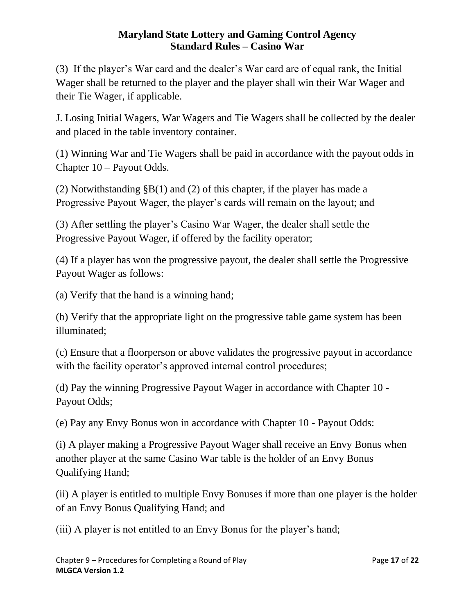(3) If the player's War card and the dealer's War card are of equal rank, the Initial Wager shall be returned to the player and the player shall win their War Wager and their Tie Wager, if applicable.

J. Losing Initial Wagers, War Wagers and Tie Wagers shall be collected by the dealer and placed in the table inventory container.

(1) Winning War and Tie Wagers shall be paid in accordance with the payout odds in Chapter 10 – Payout Odds.

(2) Notwithstanding §B(1) and (2) of this chapter, if the player has made a Progressive Payout Wager, the player's cards will remain on the layout; and

(3) After settling the player's Casino War Wager, the dealer shall settle the Progressive Payout Wager, if offered by the facility operator;

(4) If a player has won the progressive payout, the dealer shall settle the Progressive Payout Wager as follows:

(a) Verify that the hand is a winning hand;

(b) Verify that the appropriate light on the progressive table game system has been illuminated;

(c) Ensure that a floorperson or above validates the progressive payout in accordance with the facility operator's approved internal control procedures;

(d) Pay the winning Progressive Payout Wager in accordance with Chapter 10 - Payout Odds;

(e) Pay any Envy Bonus won in accordance with Chapter 10 - Payout Odds:

(i) A player making a Progressive Payout Wager shall receive an Envy Bonus when another player at the same Casino War table is the holder of an Envy Bonus Qualifying Hand;

(ii) A player is entitled to multiple Envy Bonuses if more than one player is the holder of an Envy Bonus Qualifying Hand; and

(iii) A player is not entitled to an Envy Bonus for the player's hand;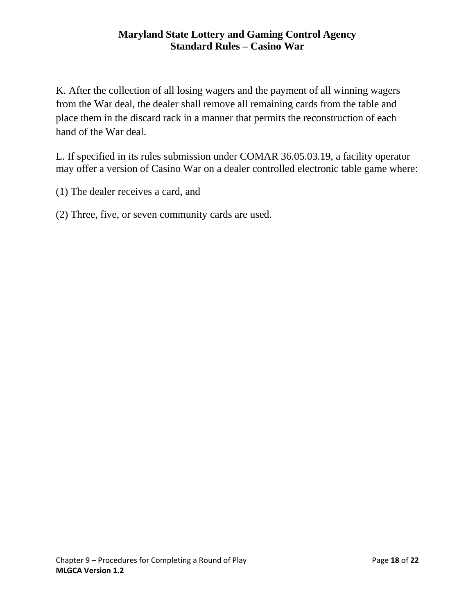K. After the collection of all losing wagers and the payment of all winning wagers from the War deal, the dealer shall remove all remaining cards from the table and place them in the discard rack in a manner that permits the reconstruction of each hand of the War deal.

L. If specified in its rules submission under COMAR 36.05.03.19, a facility operator may offer a version of Casino War on a dealer controlled electronic table game where:

- (1) The dealer receives a card, and
- <span id="page-17-0"></span>(2) Three, five, or seven community cards are used.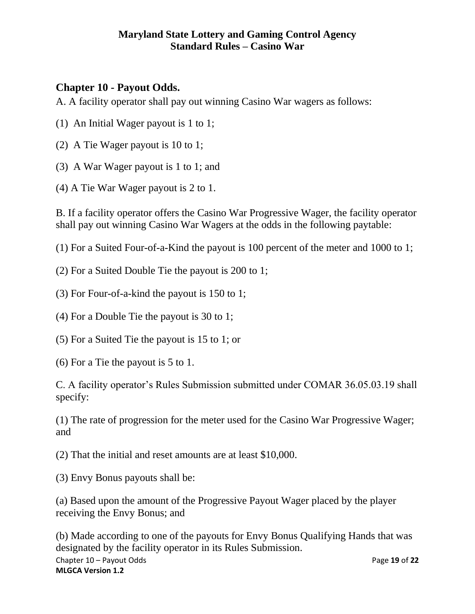# **Chapter 10 - Payout Odds.**

A. A facility operator shall pay out winning Casino War wagers as follows:

- (1) An Initial Wager payout is 1 to 1;
- (2) A Tie Wager payout is 10 to 1;
- (3) A War Wager payout is 1 to 1; and
- (4) A Tie War Wager payout is 2 to 1.

B. If a facility operator offers the Casino War Progressive Wager, the facility operator shall pay out winning Casino War Wagers at the odds in the following paytable:

(1) For a Suited Four-of-a-Kind the payout is 100 percent of the meter and 1000 to 1;

- (2) For a Suited Double Tie the payout is 200 to 1;
- (3) For Four-of-a-kind the payout is 150 to 1;
- (4) For a Double Tie the payout is 30 to 1;
- (5) For a Suited Tie the payout is 15 to 1; or
- (6) For a Tie the payout is 5 to 1.
- C. A facility operator's Rules Submission submitted under COMAR 36.05.03.19 shall specify:

(1) The rate of progression for the meter used for the Casino War Progressive Wager; and

(2) That the initial and reset amounts are at least \$10,000.

(3) Envy Bonus payouts shall be:

(a) Based upon the amount of the Progressive Payout Wager placed by the player receiving the Envy Bonus; and

Chapter 10 – Payout Odds **Page 19** of 22 **MLGCA Version 1.2** (b) Made according to one of the payouts for Envy Bonus Qualifying Hands that was designated by the facility operator in its Rules Submission.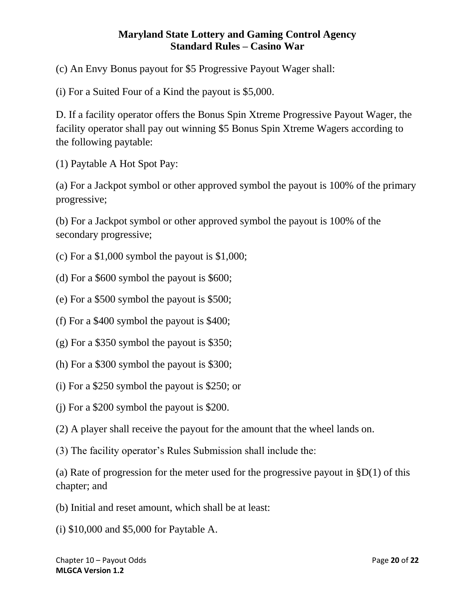(c) An Envy Bonus payout for \$5 Progressive Payout Wager shall:

(i) For a Suited Four of a Kind the payout is \$5,000.

D. If a facility operator offers the Bonus Spin Xtreme Progressive Payout Wager, the facility operator shall pay out winning \$5 Bonus Spin Xtreme Wagers according to the following paytable:

(1) Paytable A Hot Spot Pay:

(a) For a Jackpot symbol or other approved symbol the payout is 100% of the primary progressive;

(b) For a Jackpot symbol or other approved symbol the payout is 100% of the secondary progressive;

(c) For a  $$1,000$  symbol the payout is  $$1,000$ ;

(d) For a \$600 symbol the payout is \$600;

(e) For a \$500 symbol the payout is \$500;

(f) For a \$400 symbol the payout is \$400;

(g) For a \$350 symbol the payout is \$350;

(h) For a \$300 symbol the payout is \$300;

(i) For a \$250 symbol the payout is \$250; or

(j) For a \$200 symbol the payout is \$200.

(2) A player shall receive the payout for the amount that the wheel lands on.

(3) The facility operator's Rules Submission shall include the:

(a) Rate of progression for the meter used for the progressive payout in  $$D(1)$  of this chapter; and

(b) Initial and reset amount, which shall be at least:

(i) \$10,000 and \$5,000 for Paytable A.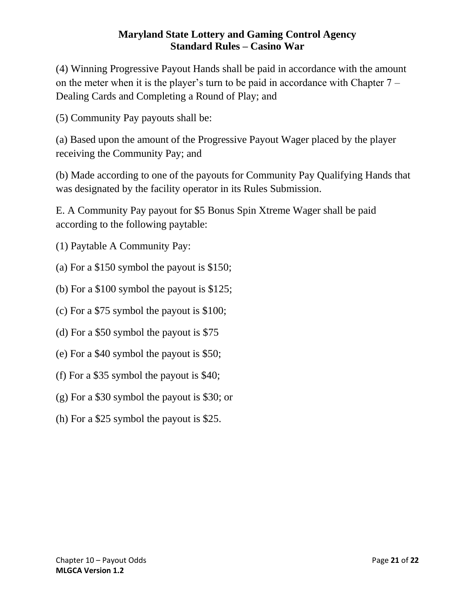(4) Winning Progressive Payout Hands shall be paid in accordance with the amount on the meter when it is the player's turn to be paid in accordance with Chapter 7 – Dealing Cards and Completing a Round of Play; and

(5) Community Pay payouts shall be:

(a) Based upon the amount of the Progressive Payout Wager placed by the player receiving the Community Pay; and

(b) Made according to one of the payouts for Community Pay Qualifying Hands that was designated by the facility operator in its Rules Submission.

E. A Community Pay payout for \$5 Bonus Spin Xtreme Wager shall be paid according to the following paytable:

(1) Paytable A Community Pay:

(a) For a \$150 symbol the payout is \$150;

(b) For a \$100 symbol the payout is \$125;

(c) For a \$75 symbol the payout is \$100;

(d) For a \$50 symbol the payout is \$75

- (e) For a \$40 symbol the payout is \$50;
- (f) For a \$35 symbol the payout is \$40;
- (g) For a \$30 symbol the payout is \$30; or
- <span id="page-20-0"></span>(h) For a \$25 symbol the payout is \$25.